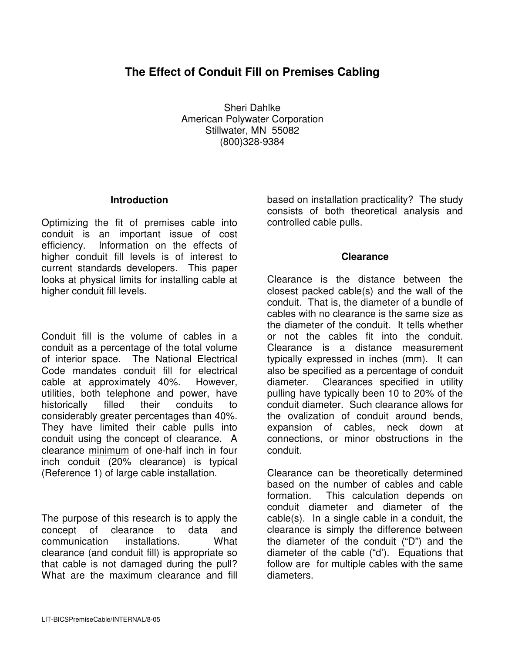# **The Effect of Conduit Fill on Premises Cabling**

Sheri Dahlke American Polywater Corporation Stillwater, MN 55082 (800)328-9384

#### **Introduction**

Optimizing the fit of premises cable into conduit is an important issue of cost efficiency. Information on the effects of higher conduit fill levels is of interest to current standards developers. This paper looks at physical limits for installing cable at higher conduit fill levels.

Conduit fill is the volume of cables in a conduit as a percentage of the total volume of interior space. The National Electrical Code mandates conduit fill for electrical cable at approximately 40%. However, utilities, both telephone and power, have historically filled their conduits to considerably greater percentages than 40%. They have limited their cable pulls into conduit using the concept of clearance. A clearance minimum of one-half inch in four inch conduit (20% clearance) is typical (Reference 1) of large cable installation.

The purpose of this research is to apply the concept of clearance to data and communication installations. What clearance (and conduit fill) is appropriate so that cable is not damaged during the pull? What are the maximum clearance and fill

based on installation practicality? The study consists of both theoretical analysis and controlled cable pulls.

## **Clearance**

Clearance is the distance between the closest packed cable(s) and the wall of the conduit. That is, the diameter of a bundle of cables with no clearance is the same size as the diameter of the conduit. It tells whether or not the cables fit into the conduit. Clearance is a distance measurement typically expressed in inches (mm). It can also be specified as a percentage of conduit diameter. Clearances specified in utility pulling have typically been 10 to 20% of the conduit diameter. Such clearance allows for the ovalization of conduit around bends, expansion of cables, neck down at connections, or minor obstructions in the conduit.

Clearance can be theoretically determined based on the number of cables and cable formation. This calculation depends on conduit diameter and diameter of the cable(s). In a single cable in a conduit, the clearance is simply the difference between the diameter of the conduit ("D") and the diameter of the cable ("d'). Equations that follow are for multiple cables with the same diameters.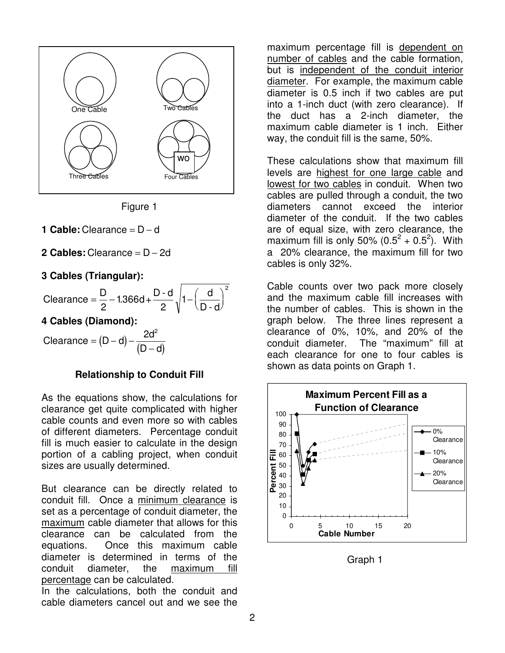

Figure 1

- **1 Cable:** Clearance = D − d
- **2 Cables:** Clearance = D − 2d

## **3 Cables (Triangular):**

| $=$ $\frac{D}{2}$ - 1.366d + $\frac{D-d}{1}$  1. $\begin{pmatrix} d \\ 1 \end{pmatrix}$<br>Clearance |  | $D - d$ |
|------------------------------------------------------------------------------------------------------|--|---------|
|------------------------------------------------------------------------------------------------------|--|---------|

**4 Cables (Diamond):** 

Clearance =  $(D - d) - \frac{2d^2}{(D - d)}$  $2d^2$ = (D – d) – −

## **Relationship to Conduit Fill**

As the equations show, the calculations for clearance get quite complicated with higher cable counts and even more so with cables of different diameters. Percentage conduit fill is much easier to calculate in the design portion of a cabling project, when conduit sizes are usually determined.

But clearance can be directly related to conduit fill. Once a minimum clearance is set as a percentage of conduit diameter, the maximum cable diameter that allows for this clearance can be calculated from the equations. Once this maximum cable diameter is determined in terms of the conduit diameter, the maximum fill percentage can be calculated.

In the calculations, both the conduit and cable diameters cancel out and we see the

maximum percentage fill is dependent on number of cables and the cable formation, but is independent of the conduit interior diameter. For example, the maximum cable diameter is 0.5 inch if two cables are put into a 1-inch duct (with zero clearance). If the duct has a 2-inch diameter, the maximum cable diameter is 1 inch. Either way, the conduit fill is the same, 50%.

These calculations show that maximum fill levels are highest for one large cable and lowest for two cables in conduit. When two cables are pulled through a conduit, the two diameters cannot exceed the interior diameter of the conduit. If the two cables are of equal size, with zero clearance, the maximum fill is only 50%  $(0.5^2 + 0.5^2)$ . With a 20% clearance, the maximum fill for two cables is only 32%.

Cable counts over two pack more closely and the maximum cable fill increases with the number of cables. This is shown in the graph below. The three lines represent a clearance of 0%, 10%, and 20% of the conduit diameter. The "maximum" fill at each clearance for one to four cables is shown as data points on Graph 1.



Graph 1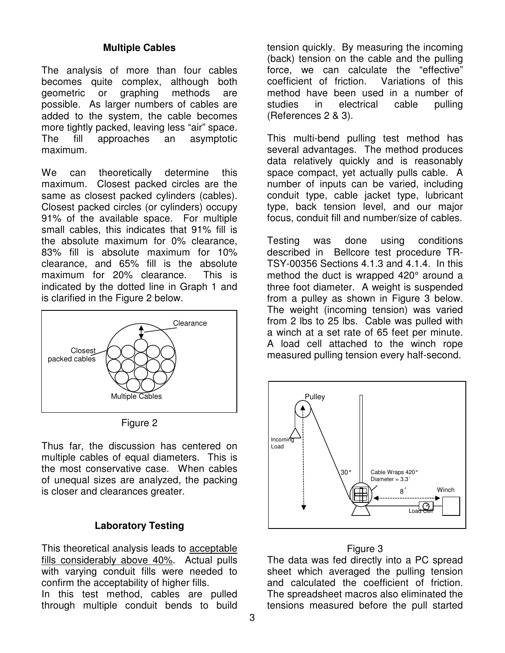## **Multiple Cables**

The analysis of more than four cables becomes quite complex, although both geometric or graphing methods are possible. As larger numbers of cables are added to the system, the cable becomes more tightly packed, leaving less "air" space. The fill approaches an asymptotic maximum.

We can theoretically determine this maximum. Closest packed circles are the same as closest packed cylinders (cables). Closest packed circles (or cylinders) occupy 91% of the available space. For multiple small cables, this indicates that 91% fill is the absolute maximum for 0% clearance, 83% fill is absolute maximum for 10% clearance, and 65% fill is the absolute maximum for 20% clearance. This is indicated by the dotted line in Graph 1 and is clarified in the Figure 2 below.



Figure 2

Thus far, the discussion has centered on multiple cables of equal diameters. This is the most conservative case. When cables of unequal sizes are analyzed, the packing is closer and clearances greater.

## **Laboratory Testing**

This theoretical analysis leads to acceptable fills considerably above 40%. Actual pulls with varying conduit fills were needed to confirm the acceptability of higher fills. In this test method, cables are pulled through multiple conduit bends to build

tension quickly. By measuring the incoming (back) tension on the cable and the pulling force, we can calculate the "effective" coefficient of friction. Variations of this method have been used in a number of studies in electrical cable pulling (References 2 & 3).

This multi-bend pulling test method has several advantages. The method produces data relatively quickly and is reasonably space compact, yet actually pulls cable. A number of inputs can be varied, including conduit type, cable jacket type, lubricant type, back tension level, and our major focus, conduit fill and number/size of cables.

Testing was done using conditions described in Bellcore test procedure TR-TSY-00356 Sections 4.1.3 and 4.1.4. In this method the duct is wrapped 420° around a three foot diameter. A weight is suspended from a pulley as shown in Figure 3 below. The weight (incoming tension) was varied from 2 lbs to 25 lbs. Cable was pulled with a winch at a set rate of 65 feet per minute. A load cell attached to the winch rope measured pulling tension every half-second.



#### Figure 3

The data was fed directly into a PC spread sheet which averaged the pulling tension and calculated the coefficient of friction. The spreadsheet macros also eliminated the tensions measured before the pull started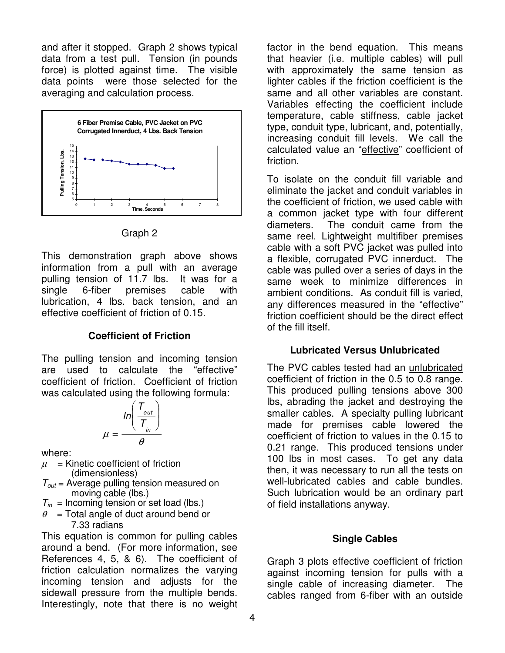and after it stopped. Graph 2 shows typical data from a test pull. Tension (in pounds force) is plotted against time. The visible data points were those selected for the averaging and calculation process.



Graph 2

This demonstration graph above shows information from a pull with an average pulling tension of 11.7 lbs. It was for a single 6-fiber premises cable with lubrication, 4 lbs. back tension, and an effective coefficient of friction of 0.15.

## **Coefficient of Friction**

The pulling tension and incoming tension are used to calculate the "effective" coefficient of friction. Coefficient of friction was calculated using the following formula:

$$
\mu = \frac{\ln\left(\frac{T_{out}}{T_{in}}\right)}{\theta}
$$

where:

- $\mu$  = Kinetic coefficient of friction
- (dimensionless)
- $T_{out}$  = Average pulling tension measured on moving cable (lbs.)
- $T_{in}$  = Incoming tension or set load (lbs.)
- $\theta$  = Total angle of duct around bend or 7.33 radians

This equation is common for pulling cables around a bend. (For more information, see References 4, 5, & 6). The coefficient of friction calculation normalizes the varying incoming tension and adjusts for the sidewall pressure from the multiple bends. Interestingly, note that there is no weight

factor in the bend equation. This means that heavier (i.e. multiple cables) will pull with approximately the same tension as lighter cables if the friction coefficient is the same and all other variables are constant. Variables effecting the coefficient include temperature, cable stiffness, cable jacket type, conduit type, lubricant, and, potentially, increasing conduit fill levels. We call the calculated value an "effective" coefficient of friction.

To isolate on the conduit fill variable and eliminate the jacket and conduit variables in the coefficient of friction, we used cable with a common jacket type with four different diameters. The conduit came from the same reel. Lightweight multifiber premises cable with a soft PVC jacket was pulled into a flexible, corrugated PVC innerduct. The cable was pulled over a series of days in the same week to minimize differences in ambient conditions. As conduit fill is varied, any differences measured in the "effective" friction coefficient should be the direct effect of the fill itself.

## **Lubricated Versus Unlubricated**

The PVC cables tested had an unlubricated coefficient of friction in the 0.5 to 0.8 range. This produced pulling tensions above 300 lbs, abrading the jacket and destroying the smaller cables. A specialty pulling lubricant made for premises cable lowered the coefficient of friction to values in the 0.15 to 0.21 range. This produced tensions under 100 lbs in most cases. To get any data then, it was necessary to run all the tests on well-lubricated cables and cable bundles. Such lubrication would be an ordinary part of field installations anyway.

## **Single Cables**

Graph 3 plots effective coefficient of friction against incoming tension for pulls with a single cable of increasing diameter. The cables ranged from 6-fiber with an outside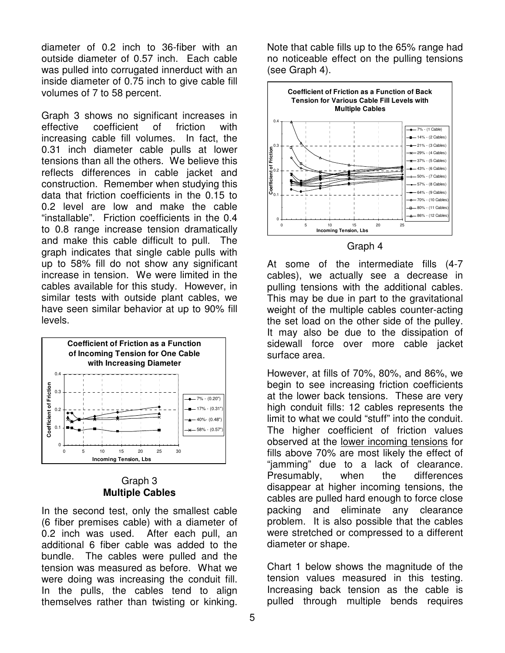diameter of 0.2 inch to 36-fiber with an outside diameter of 0.57 inch. Each cable was pulled into corrugated innerduct with an inside diameter of 0.75 inch to give cable fill volumes of 7 to 58 percent.

Graph 3 shows no significant increases in effective coefficient of friction with increasing cable fill volumes. In fact, the 0.31 inch diameter cable pulls at lower tensions than all the others. We believe this reflects differences in cable jacket and construction. Remember when studying this data that friction coefficients in the 0.15 to 0.2 level are low and make the cable "installable". Friction coefficients in the 0.4 to 0.8 range increase tension dramatically and make this cable difficult to pull. The graph indicates that single cable pulls with up to 58% fill do not show any significant increase in tension. We were limited in the cables available for this study. However, in similar tests with outside plant cables, we have seen similar behavior at up to 90% fill levels.



## Graph 3 **Multiple Cables**

In the second test, only the smallest cable (6 fiber premises cable) with a diameter of 0.2 inch was used. After each pull, an additional 6 fiber cable was added to the bundle. The cables were pulled and the tension was measured as before. What we were doing was increasing the conduit fill. In the pulls, the cables tend to align themselves rather than twisting or kinking.

Note that cable fills up to the 65% range had no noticeable effect on the pulling tensions (see Graph 4).





At some of the intermediate fills (4-7 cables), we actually see a decrease in pulling tensions with the additional cables. This may be due in part to the gravitational weight of the multiple cables counter-acting the set load on the other side of the pulley. It may also be due to the dissipation of sidewall force over more cable jacket surface area.

However, at fills of 70%, 80%, and 86%, we begin to see increasing friction coefficients at the lower back tensions. These are very high conduit fills: 12 cables represents the limit to what we could "stuff" into the conduit. The higher coefficient of friction values observed at the lower incoming tensions for fills above 70% are most likely the effect of "jamming" due to a lack of clearance. Presumably, when the differences disappear at higher incoming tensions, the cables are pulled hard enough to force close packing and eliminate any clearance problem. It is also possible that the cables were stretched or compressed to a different diameter or shape.

Chart 1 below shows the magnitude of the tension values measured in this testing. Increasing back tension as the cable is pulled through multiple bends requires